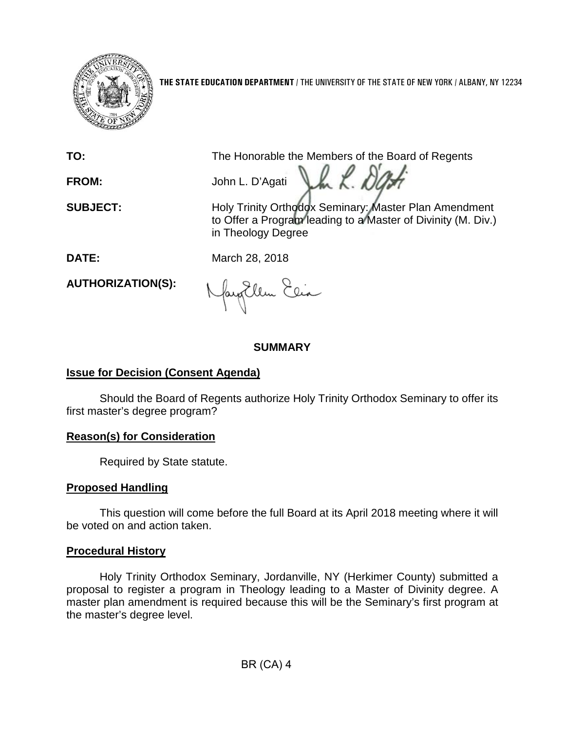

**THE STATE EDUCATION DEPARTMENT** / THE UNIVERSITY OF THE STATE OF NEW YORK / ALBANY, NY 12234

**TO:** The Honorable the Members of the Board of Regents

Jh K. D. **FROM:** John L. D'Agati

**SUBJECT:** Holy Trinity Orthodox Seminary: Master Plan Amendment to Offer a Program leading to a Master of Divinity (M. Div.) in Theology Degree

**DATE:** March 28, 2018

**AUTHORIZATION(S):**

fayEllen Elia

## **SUMMARY**

# **Issue for Decision (Consent Agenda)**

Should the Board of Regents authorize Holy Trinity Orthodox Seminary to offer its first master's degree program?

## **Reason(s) for Consideration**

Required by State statute.

## **Proposed Handling**

This question will come before the full Board at its April 2018 meeting where it will be voted on and action taken.

# **Procedural History**

Holy Trinity Orthodox Seminary, Jordanville, NY (Herkimer County) submitted a proposal to register a program in Theology leading to a Master of Divinity degree. A master plan amendment is required because this will be the Seminary's first program at the master's degree level.